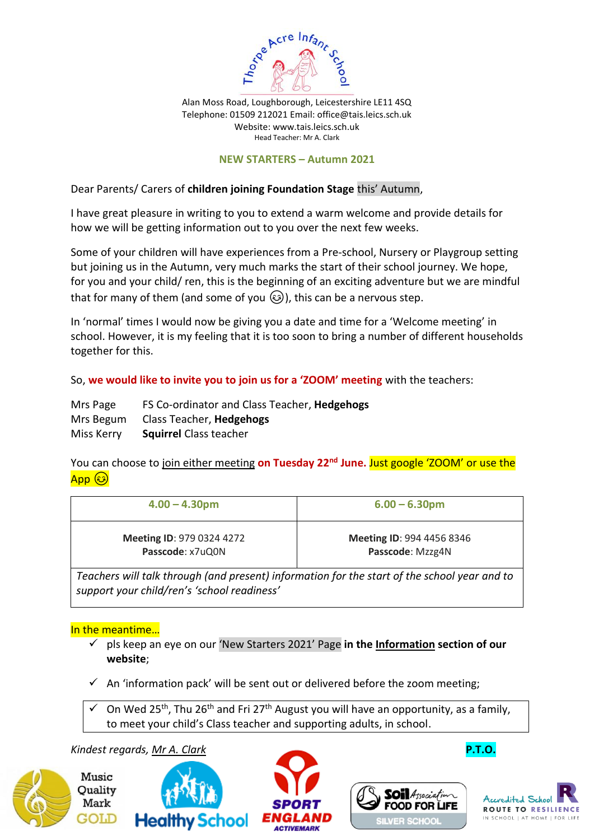

Alan Moss Road, Loughborough, Leicestershire LE11 4SQ Telephone: 01509 212021 Email: [office@tais.leics.sch.uk](mailto:office@tais.leics.sch.uk) Website: www.tais.leics.sch.uk Head Teacher: Mr A. Clark

#### **NEW STARTERS – Autumn 2021**

Dear Parents/ Carers of **children joining Foundation Stage** this' Autumn,

I have great pleasure in writing to you to extend a warm welcome and provide details for how we will be getting information out to you over the next few weeks.

Some of your children will have experiences from a Pre-school, Nursery or Playgroup setting but joining us in the Autumn, very much marks the start of their school journey. We hope, for you and your child/ ren, this is the beginning of an exciting adventure but we are mindful that for many of them (and some of you  $\circled{c}$ ), this can be a nervous step.

In 'normal' times I would now be giving you a date and time for a 'Welcome meeting' in school. However, it is my feeling that it is too soon to bring a number of different households together for this.

So, **we would like to invite you to join us for a 'ZOOM' meeting** with the teachers:

| Mrs Page   | FS Co-ordinator and Class Teacher, Hedgehogs |
|------------|----------------------------------------------|
| Mrs Begum  | Class Teacher, <b>Hedgehogs</b>              |
| Miss Kerry | <b>Squirrel</b> Class teacher                |

You can choose to join either meeting **on Tuesday 22nd June.** Just google 'ZOOM' or use the  $\overline{\mathsf{App}\ \circledS}$ 

| $4.00 - 4.30$ pm                 | $6.00 - 6.30$ pm                 |
|----------------------------------|----------------------------------|
| <b>Meeting ID: 979 0324 4272</b> | <b>Meeting ID: 994 4456 8346</b> |
| Passcode: x7uQ0N                 | Passcode: Mzzg4N                 |

*Teachers will talk through (and present) information for the start of the school year and to support your child/ren's 'school readiness'*

### In the meantime…

- ✓ pls keep an eye on our 'New Starters 2021' Page **in the Information section of our website**;
- $\checkmark$  An 'information pack' will be sent out or delivered before the zoom meeting;
- $\checkmark$  On Wed 25<sup>th</sup>, Thu 26<sup>th</sup> and Fri 27<sup>th</sup> August you will have an opportunity, as a family, to meet your child's Class teacher and supporting adults, in school.

### *Kindest regards, Mr A. Clark* **P.T.O.**









**SOil** Association

**ILVER SCHOO** 

**FOOD FOR LIFE**